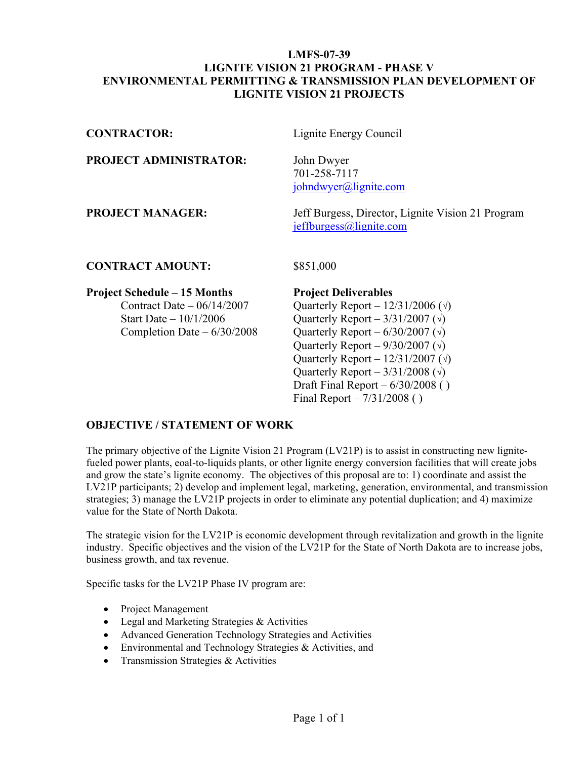#### **LMFS-07-39 LIGNITE VISION 21 PROGRAM - PHASE V ENVIRONMENTAL PERMITTING & TRANSMISSION PLAN DEVELOPMENT OF LIGNITE VISION 21 PROJECTS**

| <b>CONTRACTOR:</b>            | Lignite Energy Council                                                          |
|-------------------------------|---------------------------------------------------------------------------------|
| <b>PROJECT ADMINISTRATOR:</b> | John Dwyer<br>701-258-7117<br>$jo$ hndwyer@lignite.com                          |
| <b>PROJECT MANAGER:</b>       | Jeff Burgess, Director, Lignite Vision 21 Program<br>$j$ effburgess@lignite.com |
|                               |                                                                                 |

#### **CONTRACT AMOUNT:** \$851,000

#### **Project Schedule – 15 Months Project Deliverables**

Contract Date –  $06/14/2007$  Quarterly Report –  $12/31/2006$  ( $\sqrt{ }$ ) Start Date –  $10/1/2006$  Quarterly Report –  $3/31/2007$  ( $\sqrt{ }$ ) Completion Date –  $6/30/2008$  Quarterly Report –  $6/30/2007$  ( $\sqrt{ }$ ) Quarterly Report –  $9/30/2007$  ( $\sqrt{ }$ ) Quarterly Report – 12/31/2007 (**√**) Quarterly Report – 3/31/2008 (**√**) Draft Final Report  $-6/30/2008$  () Final Report –  $7/31/2008$  ()

#### **OBJECTIVE / STATEMENT OF WORK**

The primary objective of the Lignite Vision 21 Program (LV21P) is to assist in constructing new lignitefueled power plants, eoal-to-liquids plants, or other lignite energy conversion facilities that will create jobs and grow the state's lignite economy. The objectives of this proposal are to: 1) coordinate and assist the LV21P participants; 2) develop and implement legal, marketing, generation, environmental, and transmission strategies; 3) manage the LV21P projects in order to eliminate any potential duplication; and 4) maximize value for the State of North Dakota.

The strategic vision for the LV21P is economic development through revitalization and growth in the lignite industry. Specific objectives and the vision of the LV21P for the State of North Dakota are to increase jobs, business growth, and tax revenue.

Specific tasks for the LV21P Phase IV program are:

- Project Management
- Legal and Marketing Strategies & Activities
- Advanced Generation Technology Strategies and Activities
- Environmental and Technology Strategies & Activities, and
- Transmission Strategies & Activities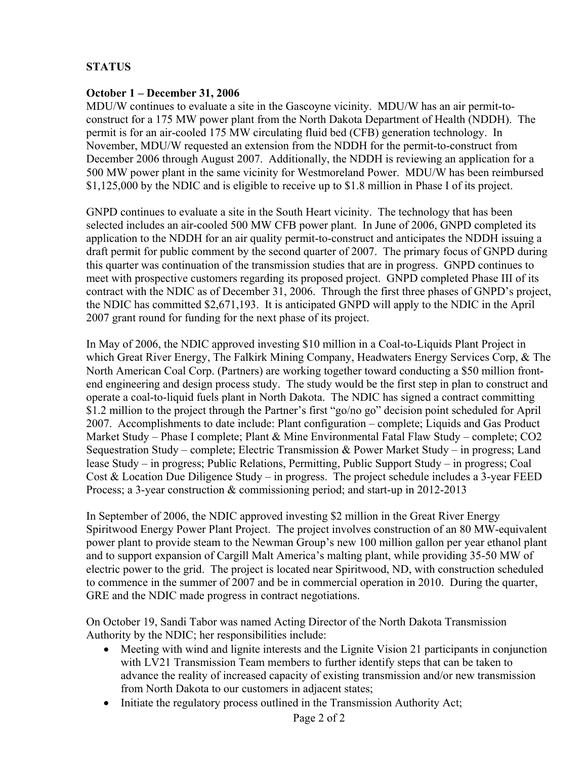# **STATUS**

#### **October 1 – December 31, 2006**

MDU/W continues to evaluate a site in the Gascoyne vicinity. MDU/W has an air permit-toconstruct for a 175 MW power plant from the North Dakota Department of Health (NDDH). The permit is for an air-cooled 175 MW circulating fluid bed (CFB) generation technology. In November, MDU/W requested an extension from the NDDH for the permit-to-construct from December 2006 through August 2007. Additionally, the NDDH is reviewing an application for a 500 MW power plant in the same vicinity for Westmoreland Power. MDU/W has been reimbursed \$1,125,000 by the NDIC and is eligible to receive up to \$1.8 million in Phase I of its project.

GNPD continues to evaluate a site in the South Heart vicinity. The technology that has been selected includes an air-cooled 500 MW CFB power plant. In June of 2006, GNPD completed its application to the NDDH for an air quality permit-to-construct and anticipates the NDDH issuing a draft permit for public comment by the second quarter of 2007. The primary focus of GNPD during this quarter was continuation of the transmission studies that are in progress. GNPD continues to meet with prospective customers regarding its proposed project. GNPD completed Phase III of its contract with the NDIC as of December 31, 2006. Through the first three phases of GNPD's project, the NDIC has committed \$2,671,193. It is anticipated GNPD will apply to the NDIC in the April 2007 grant round for funding for the next phase of its project.

In May of 2006, the NDIC approved investing \$10 million in a Coal-to-Liquids Plant Project in which Great River Energy, The Falkirk Mining Company, Headwaters Energy Services Corp, & The North American Coal Corp. (Partners) are working together toward conducting a \$50 million frontend engineering and design process study. The study would be the first step in plan to construct and operate a coal-to-liquid fuels plant in North Dakota. The NDIC has signed a contract committing \$1.2 million to the project through the Partner's first "go/no go" decision point scheduled for April 2007. Accomplishments to date include: Plant configuration – complete; Liquids and Gas Product Market Study – Phase I complete; Plant & Mine Environmental Fatal Flaw Study – complete; CO2 Sequestration Study – complete; Electric Transmission & Power Market Study – in progress; Land lease Study – in progress; Public Relations, Permitting, Public Support Study – in progress; Coal Cost & Location Due Diligence Study – in progress. The project schedule includes a 3-year FEED Process; a 3-year construction & commissioning period; and start-up in 2012-2013

In September of 2006, the NDIC approved investing \$2 million in the Great River Energy Spiritwood Energy Power Plant Project. The project involves construction of an 80 MW-equivalent power plant to provide steam to the Newman Group's new 100 million gallon per year ethanol plant and to support expansion of Cargill Malt America's malting plant, while providing 35-50 MW of electric power to the grid. The project is located near Spiritwood, ND, with construction scheduled to commence in the summer of 2007 and be in commercial operation in 2010. During the quarter, GRE and the NDIC made progress in contract negotiations.

On October 19, Sandi Tabor was named Acting Director of the North Dakota Transmission Authority by the NDIC; her responsibilities include:

- Meeting with wind and lignite interests and the Lignite Vision 21 participants in conjunction with LV21 Transmission Team members to further identify steps that can be taken to advance the reality of increased capacity of existing transmission and/or new transmission from North Dakota to our customers in adjacent states;
- Initiate the regulatory process outlined in the Transmission Authority Act;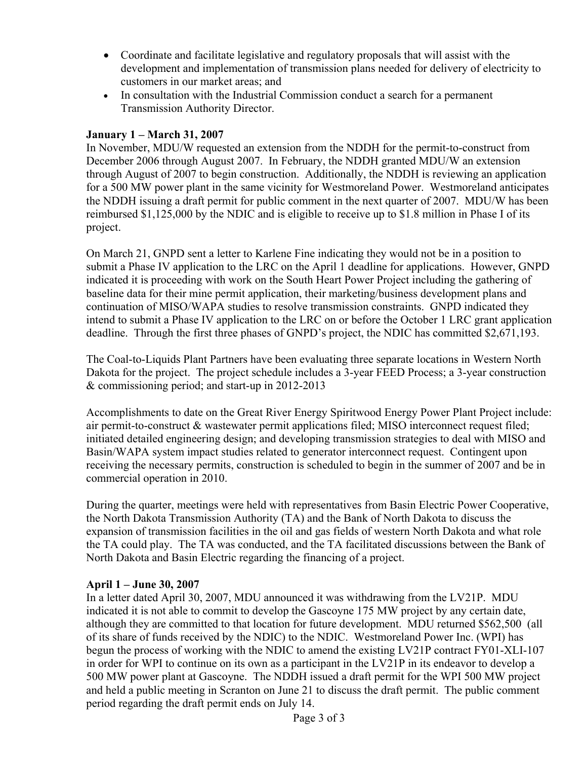- Coordinate and facilitate legislative and regulatory proposals that will assist with the development and implementation of transmission plans needed for delivery of electricity to customers in our market areas; and
- In consultation with the Industrial Commission conduct a search for a permanent Transmission Authority Director.

## **January 1 – March 31, 2007**

In November, MDU/W requested an extension from the NDDH for the permit-to-construct from December 2006 through August 2007. In February, the NDDH granted MDU/W an extension through August of 2007 to begin construction. Additionally, the NDDH is reviewing an application for a 500 MW power plant in the same vicinity for Westmoreland Power. Westmoreland anticipates the NDDH issuing a draft permit for public comment in the next quarter of 2007. MDU/W has been reimbursed \$1,125,000 by the NDIC and is eligible to receive up to \$1.8 million in Phase I of its project.

On March 21, GNPD sent a letter to Karlene Fine indicating they would not be in a position to submit a Phase IV application to the LRC on the April 1 deadline for applications. However, GNPD indicated it is proceeding with work on the South Heart Power Project including the gathering of baseline data for their mine permit application, their marketing/business development plans and continuation of MISO/WAPA studies to resolve transmission constraints. GNPD indicated they intend to submit a Phase IV application to the LRC on or before the October 1 LRC grant application deadline. Through the first three phases of GNPD's project, the NDIC has committed \$2,671,193.

The Coal-to-Liquids Plant Partners have been evaluating three separate locations in Western North Dakota for the project. The project schedule includes a 3-year FEED Process; a 3-year construction & commissioning period; and start-up in 2012-2013

Accomplishments to date on the Great River Energy Spiritwood Energy Power Plant Project include: air permit-to-construct & wastewater permit applications filed; MISO interconnect request filed; initiated detailed engineering design; and developing transmission strategies to deal with MISO and Basin/WAPA system impact studies related to generator interconnect request. Contingent upon receiving the necessary permits, construction is scheduled to begin in the summer of 2007 and be in commercial operation in 2010.

During the quarter, meetings were held with representatives from Basin Electric Power Cooperative, the North Dakota Transmission Authority (TA) and the Bank of North Dakota to discuss the expansion of transmission facilities in the oil and gas fields of western North Dakota and what role the TA could play. The TA was conducted, and the TA facilitated discussions between the Bank of North Dakota and Basin Electric regarding the financing of a project.

#### **April 1 – June 30, 2007**

In a letter dated April 30, 2007, MDU announced it was withdrawing from the LV21P. MDU indicated it is not able to commit to develop the Gascoyne 175 MW project by any certain date, although they are committed to that location for future development. MDU returned \$562,500 (all of its share of funds received by the NDIC) to the NDIC. Westmoreland Power Inc. (WPI) has begun the process of working with the NDIC to amend the existing LV21P contract FY01-XLI-107 in order for WPI to continue on its own as a participant in the LV21P in its endeavor to develop a 500 MW power plant at Gascoyne. The NDDH issued a draft permit for the WPI 500 MW project and held a public meeting in Scranton on June 21 to discuss the draft permit. The public comment period regarding the draft permit ends on July 14.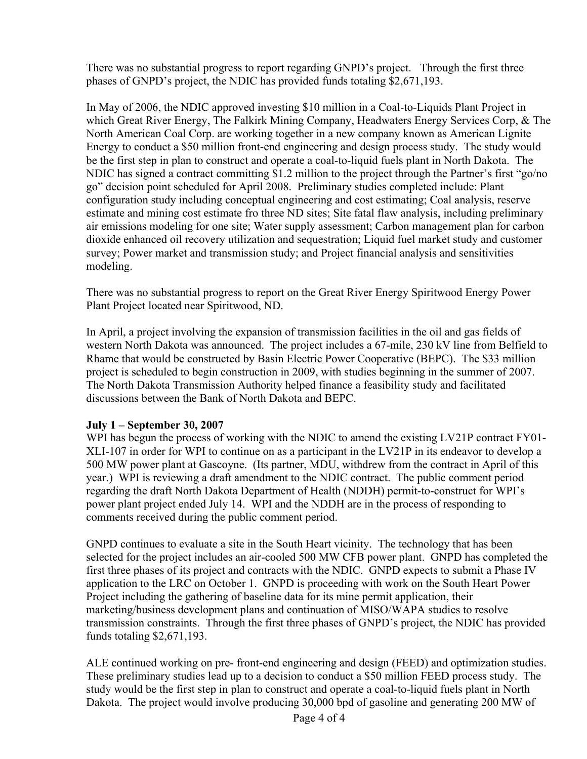There was no substantial progress to report regarding GNPD's project. Through the first three phases of GNPD's project, the NDIC has provided funds totaling \$2,671,193.

In May of 2006, the NDIC approved investing \$10 million in a Coal-to-Liquids Plant Project in which Great River Energy, The Falkirk Mining Company, Headwaters Energy Services Corp, & The North American Coal Corp. are working together in a new company known as American Lignite Energy to conduct a \$50 million front-end engineering and design process study. The study would be the first step in plan to construct and operate a coal-to-liquid fuels plant in North Dakota. The NDIC has signed a contract committing \$1.2 million to the project through the Partner's first "go/no go" decision point scheduled for April 2008. Preliminary studies completed include: Plant configuration study including conceptual engineering and cost estimating; Coal analysis, reserve estimate and mining cost estimate fro three ND sites; Site fatal flaw analysis, including preliminary air emissions modeling for one site; Water supply assessment; Carbon management plan for carbon dioxide enhanced oil recovery utilization and sequestration; Liquid fuel market study and customer survey; Power market and transmission study; and Project financial analysis and sensitivities modeling.

There was no substantial progress to report on the Great River Energy Spiritwood Energy Power Plant Project located near Spiritwood, ND.

In April, a project involving the expansion of transmission facilities in the oil and gas fields of western North Dakota was announced. The project includes a 67-mile, 230 kV line from Belfield to Rhame that would be constructed by Basin Electric Power Cooperative (BEPC). The \$33 million project is scheduled to begin construction in 2009, with studies beginning in the summer of 2007. The North Dakota Transmission Authority helped finance a feasibility study and facilitated discussions between the Bank of North Dakota and BEPC.

# **July 1 – September 30, 2007**

WPI has begun the process of working with the NDIC to amend the existing LV21P contract FY01- XLI-107 in order for WPI to continue on as a participant in the LV21P in its endeavor to develop a 500 MW power plant at Gascoyne. (Its partner, MDU, withdrew from the contract in April of this year.) WPI is reviewing a draft amendment to the NDIC contract. The public comment period regarding the draft North Dakota Department of Health (NDDH) permit-to-construct for WPI's power plant project ended July 14. WPI and the NDDH are in the process of responding to comments received during the public comment period.

GNPD continues to evaluate a site in the South Heart vicinity. The technology that has been selected for the project includes an air-cooled 500 MW CFB power plant. GNPD has completed the first three phases of its project and contracts with the NDIC. GNPD expects to submit a Phase IV application to the LRC on October 1. GNPD is proceeding with work on the South Heart Power Project including the gathering of baseline data for its mine permit application, their marketing/business development plans and continuation of MISO/WAPA studies to resolve transmission constraints. Through the first three phases of GNPD's project, the NDIC has provided funds totaling \$2,671,193.

ALE continued working on pre- front-end engineering and design (FEED) and optimization studies. These preliminary studies lead up to a decision to conduct a \$50 million FEED process study. The study would be the first step in plan to construct and operate a coal-to-liquid fuels plant in North Dakota. The project would involve producing 30,000 bpd of gasoline and generating 200 MW of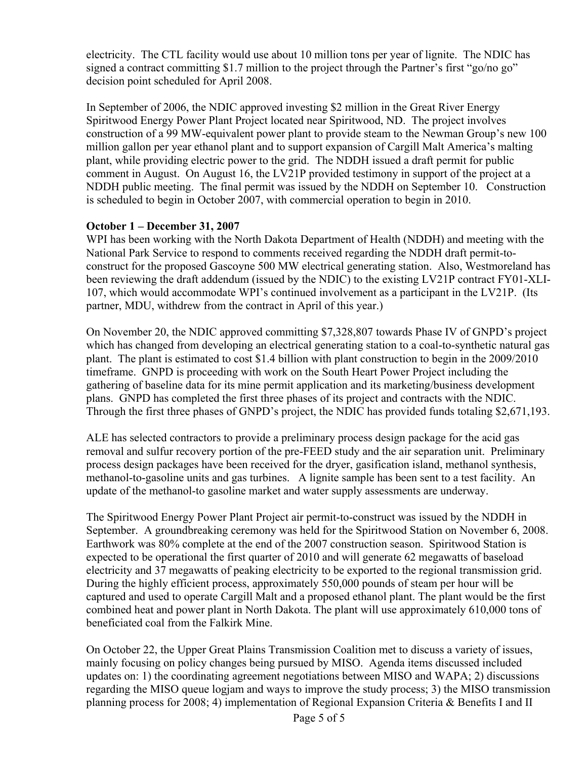electricity. The CTL facility would use about 10 million tons per year of lignite. The NDIC has signed a contract committing \$1.7 million to the project through the Partner's first "go/no go" decision point scheduled for April 2008.

In September of 2006, the NDIC approved investing \$2 million in the Great River Energy Spiritwood Energy Power Plant Project located near Spiritwood, ND. The project involves construction of a 99 MW-equivalent power plant to provide steam to the Newman Group's new 100 million gallon per year ethanol plant and to support expansion of Cargill Malt America's malting plant, while providing electric power to the grid. The NDDH issued a draft permit for public comment in August. On August 16, the LV21P provided testimony in support of the project at a NDDH public meeting. The final permit was issued by the NDDH on September 10. Construction is scheduled to begin in October 2007, with commercial operation to begin in 2010.

## **October 1 – December 31, 2007**

WPI has been working with the North Dakota Department of Health (NDDH) and meeting with the National Park Service to respond to comments received regarding the NDDH draft permit-toconstruct for the proposed Gascoyne 500 MW electrical generating station. Also, Westmoreland has been reviewing the draft addendum (issued by the NDIC) to the existing LV21P contract FY01-XLI-107, which would accommodate WPI's continued involvement as a participant in the LV21P. (Its partner, MDU, withdrew from the contract in April of this year.)

On November 20, the NDIC approved committing \$7,328,807 towards Phase IV of GNPD's project which has changed from developing an electrical generating station to a coal-to-synthetic natural gas plant. The plant is estimated to cost \$1.4 billion with plant construction to begin in the 2009/2010 timeframe. GNPD is proceeding with work on the South Heart Power Project including the gathering of baseline data for its mine permit application and its marketing/business development plans. GNPD has completed the first three phases of its project and contracts with the NDIC. Through the first three phases of GNPD's project, the NDIC has provided funds totaling \$2,671,193.

ALE has selected contractors to provide a preliminary process design package for the acid gas removal and sulfur recovery portion of the pre-FEED study and the air separation unit. Preliminary process design packages have been received for the dryer, gasification island, methanol synthesis, methanol-to-gasoline units and gas turbines. A lignite sample has been sent to a test facility. An update of the methanol-to gasoline market and water supply assessments are underway.

The Spiritwood Energy Power Plant Project air permit-to-construct was issued by the NDDH in September. A groundbreaking ceremony was held for the Spiritwood Station on November 6, 2008. Earthwork was 80% complete at the end of the 2007 construction season. Spiritwood Station is expected to be operational the first quarter of 2010 and will generate 62 megawatts of baseload electricity and 37 megawatts of peaking electricity to be exported to the regional transmission grid. During the highly efficient process, approximately 550,000 pounds of steam per hour will be captured and used to operate Cargill Malt and a proposed ethanol plant. The plant would be the first combined heat and power plant in North Dakota. The plant will use approximately 610,000 tons of beneficiated coal from the Falkirk Mine.

On October 22, the Upper Great Plains Transmission Coalition met to discuss a variety of issues, mainly focusing on policy changes being pursued by MISO. Agenda items discussed included updates on: 1) the coordinating agreement negotiations between MISO and WAPA; 2) discussions regarding the MISO queue logjam and ways to improve the study process; 3) the MISO transmission planning process for 2008; 4) implementation of Regional Expansion Criteria & Benefits I and II